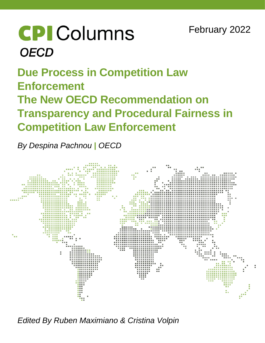# **CPI** Columns **OECD**

# **Due Process in Competition Law Enforcement The New OECD Recommendation on Transparency and Procedural Fairness in Competition Law Enforcement**

*By Despina Pachnou | OECD*



*Edited By Ruben Maximiano & Cristina Volpin*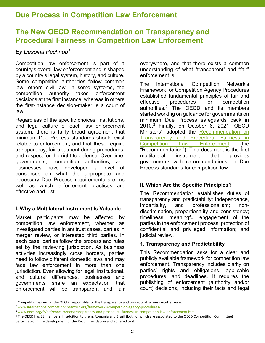## Due Process in Competition Law Enforcement

### The New OECD Recommendation on Transparency and Procedural Fairness in Competition Law Enforcement

#### By Despina Pachnou<sup>1</sup>

Competition law enforcement is part of a country's overall law enforcement and is shaped by a country's legal system, history, and culture. Some competition authorities follow common law, others civil law; in some systems, the competition authority takes enforcement decisions at the first instance, whereas in others the first-instance decision-maker is a court of law.

Regardless of the specific choices, institutions, and legal culture of each law enforcement system, there is fairly broad agreement that minimum Due Process standards should exist related to enforcement, and that these require transparency, fair treatment during procedures, and respect for the right to defense. Over time, governments, competition authorities, and businesses have developed a level of consensus on what the appropriate and necessary Due Process requirements are, as well as which enforcement practices are effective and just.

#### I. Why a Multilateral Instrument Is Valuable

Market participants may be affected by competition law enforcement, whether as investigated parties in antitrust cases, parties in merger review, or interested third parties. In each case, parties follow the process and rules set by the reviewing jurisdiction. As business activities increasingly cross borders, parties need to follow different domestic laws and may face law enforcement in more than one jurisdiction. Even allowing for legal, institutional, and cultural differences, businesses and governments share an expectation that enforcement will be transparent and fair

 $\overline{a}$ 

everywhere, and that there exists a common understanding of what "transparent" and "fair" enforcement is.

The International Competition Network's Framework for Competition Agency Procedures established fundamental principles of fair and effective procedures for competition authorities.<sup>2</sup> The OECD and its members started working on guidance for governments on minimum Due Process safeguards back in 2010.<sup>3</sup> Finally, on October 6, 2021, OECD Ministers<sup>4</sup> adopted the **Recommendation** on Transparency and Procedural Fairness in Competition Law Enforcement (the "Recommendation"). This document is the first multilateral instrument that provides governments with recommendations on Due Process standards for competition law.

#### II. Which Are the Specific Principles?

The Recommendation establishes duties of transparency and predictability; independence, impartiality, and professionalism; nondiscrimination, proportionality and consistency; timeliness; meaningful engagement of the parties in the enforcement process; protection of confidential and privileged information; and judicial review.

#### 1. Transparency and Predictability

This Recommendation asks for a clear and publicly available framework for competition law enforcement. Transparency includes clarity on parties' rights and obligations, applicable procedures, and deadlines. It requires the publishing of enforcement (authority and/or court) decisions, including their facts and legal

<sup>&</sup>lt;sup>1</sup> Competition expert at the OECD, responsible for the transparency and procedural fairness work stream.

<sup>&</sup>lt;sup>2</sup> www.internationalcompetitionnetwork.org/frameworks/competition-agency-procedures/.

<sup>3</sup> www.oecd.org/fr/daf/concurrence/transparency-and-procedural-fairness-in-competition-law-enforcement.htm.

<sup>4</sup> The OECD has 38 members. In addition to them, Romania and Brazil (both of which are associated to the OECD Competition Committee) participated in the development of the Recommendation and adhered to it.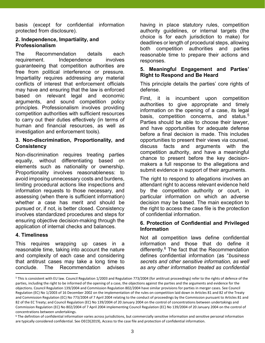basis (except for confidential information protected from disclosure).

#### 2. Independence, Impartiality, and Professionalism

The Recommendation details each requirement. Independence involves guaranteeing that competition authorities are free from political interference or pressure. Impartiality requires addressing any material conflicts of interest that enforcement officials may have and ensuring that the law is enforced based on relevant legal and economic arguments, and sound competition policy principles. Professionalism involves providing competition authorities with sufficient resources to carry out their duties effectively (in terms of human and financial resources, as well as investigation and enforcement tools).

#### 3. Non-discrimination, Proportionality, and **Consistency**

Non-discrimination requires treating parties equally, without differentiating based on elements such as nationality or ownership. Proportionality involves reasonableness: to avoid imposing unnecessary costs and burdens, limiting procedural actions like inspections and information requests to those necessary, and assessing (when there is sufficient information) whether a case has merit and should be pursued or, if not, is better closed. Consistency involves standardized procedures and steps for ensuring objective decision-making through the application of internal checks and balances.

#### 4. Timeliness

This requires wrapping up cases in a reasonable time, taking into account the nature and complexity of each case and considering that antitrust cases may take a long time to conclude. The Recommendation advises

having in place statutory rules, competition authority guidelines, or internal targets (the choice is for each jurisdiction to make) for deadlines or length of procedural steps, allowing both competition authorities and parties reasonable time to prepare their actions and responses.

#### 5. Meaningful Engagement and Parties' Right to Respond and Be Heard

This principle details the parties' core rights of defense.

First, it is incumbent upon competition authorities to give appropriate and timely information on the opening of a case, its legal basis, competition concerns, and status.<sup>5</sup> Parties should be able to choose their lawyer, and have opportunities for adequate defense before a final decision is made. This includes opportunities to present their views via counsel, discuss facts and arguments with the competition authority, and have a meaningful chance to present before the key decisionmakers a full response to the allegations and submit evidence in support of their arguments.

The right to respond to allegations involves an attendant right to access relevant evidence held by the competition authority or court, in particular information on which an adverse decision may be based. The main exception to the right to access the case file is the protection of confidential information.

#### 6. Protection of Confidential and Privileged Information

Not all competition laws define confidential information and those that do define it differently.<sup>6</sup> The fact that the Recommendation defines confidential information (as "business secrets and other sensitive information, as well as any other information treated as confidential

<sup>&</sup>lt;sup>5</sup> This is consistent with EU law. Council Regulation 1/2003 and Regulation 773/2004 (for antitrust proceedings) refer to the rights of defence of the parties, including the right to be informed of the opening of a case, the objections against the parties and the arguments and evidence for the objections. Council Regulation 139/2004 and Commission Regulation 802/2004 have similar provisions for parties in merger cases. See Council Regulation (EC) No 1/2003 of 16 December 2002 on the implementation of the rules on competition laid down in Articles 81 and 82 of the Treaty and Commission Regulation (EC) No 773/2004 of 7 April 2004 relating to the conduct of proceedings by the Commission pursuant to Articles 81 and 82 of the EC Treaty; and Council Regulation (EC) No 139/2004 of 20 January 2004 on the control of concentrations between undertakings and Commission Regulation (EC) No 802/2004 of 7 April 2004 implementing Council Regulation (EC) No 139/2004 of 20 January 2004 on the control of concentrations between undertakings.

<sup>6</sup> The definition of confidential information varies across jurisdictions, but commercially sensitive information and sensitive personal information are typically considered confidential. See OECD(2019), Access to the case file and protection of confidential information.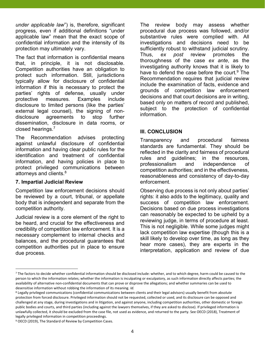under applicable law") is, therefore, significant progress, even if additional definitions "under applicable law" mean that the exact scope of confidential information and the intensity of its protection may ultimately vary.

The fact that information is confidential means that, in principle, it is not disclosable. Competition authorities have an obligation to protect such information. Still, jurisdictions typically allow for disclosure of confidential information if this is necessary to protect the parties' rights of defense, usually under protective measures. Examples include disclosure to limited persons (like the parties' external legal counsel), the signing of nondisclosure agreements to stop further dissemination, disclosure in data rooms, or closed hearings.<sup>7</sup>

The Recommendation advises protecting against unlawful disclosure of confidential information and having clear public rules for the identification and treatment of confidential information, and having policies in place to protect privileged communications between attorneys and clients.<sup>8</sup>

#### 7. Impartial Judicial Review

 $\overline{a}$ 

Competition law enforcement decisions should be reviewed by a court, tribunal, or appellate body that is independent and separate from the competition authority.

Judicial review is a core element of the right to be heard, and crucial for the effectiveness and credibility of competition law enforcement. It is a necessary complement to internal checks and balances, and the procedural guarantees that competition authorities put in place to ensure due process.

The review body may assess whether procedural due process was followed, and/or substantive rules were complied with. All investigations and decisions need to be sufficiently robust to withstand judicial scrutiny. Thus, ex post review promotes the thoroughness of the case ex ante, as the investigating authority knows that it is likely to have to defend the case before the court.<sup>9</sup> The Recommendation requires that judicial review include the examination of facts, evidence and grounds of competition law enforcement decisions and that court decisions are in writing, based only on matters of record and published, subject to the protection of confidential information.

#### III. CONCLUSION

Transparency and procedural fairness standards are fundamental. They should be reflected in the clarity and fairness of procedural rules and guidelines; in the resources, professionalism and independence of competition authorities; and in the effectiveness, reasonableness and consistency of day-to-day enforcement.

Observing due process is not only about parties' rights: it also adds to the legitimacy, quality and success of competition law enforcement. Decisions based on due process investigations can reasonably be expected to be upheld by a reviewing judge, in terms of procedure at least. This is not negligible. While some judges might lack competition law expertise (though this is a skill likely to develop over time, as long as they hear more cases), they are experts in the interpretation, application and review of due

<sup>9</sup> OECD (2019), The Standard of Review by Competition Cases.

<sup>7</sup> The factors to decide whether confidential information should be disclosed include: whether, and to which degree, harm could be caused to the person to which the information relates; whether the information is inculpating or exculpatory, as such information directly affects parties; the availability of alternative non-confidential documents that can prove or disprove the allegations; and whether summaries can be used to desensitise information without robbing the information of its meaning. Id.

<sup>&</sup>lt;sup>8</sup> Legally privileged communications (confidential communications between clients and their legal advisors) usually benefit from absolute protection from forced disclosure. Privileged information should not be requested, collected or used, and its disclosure can be opposed and challenged at any stage, during investigations and in litigation, and against anyone, including competition authorities, other domestic or foreign public bodies and courts, and third parties (including against the lawyers themselves, if they are asked to disclose). If privileged information is unlawfully collected, it should be excluded from the case file, not used as evidence, and returned to the party. See OECD (2018), Treatment of legally privileged information in competition proceedings.